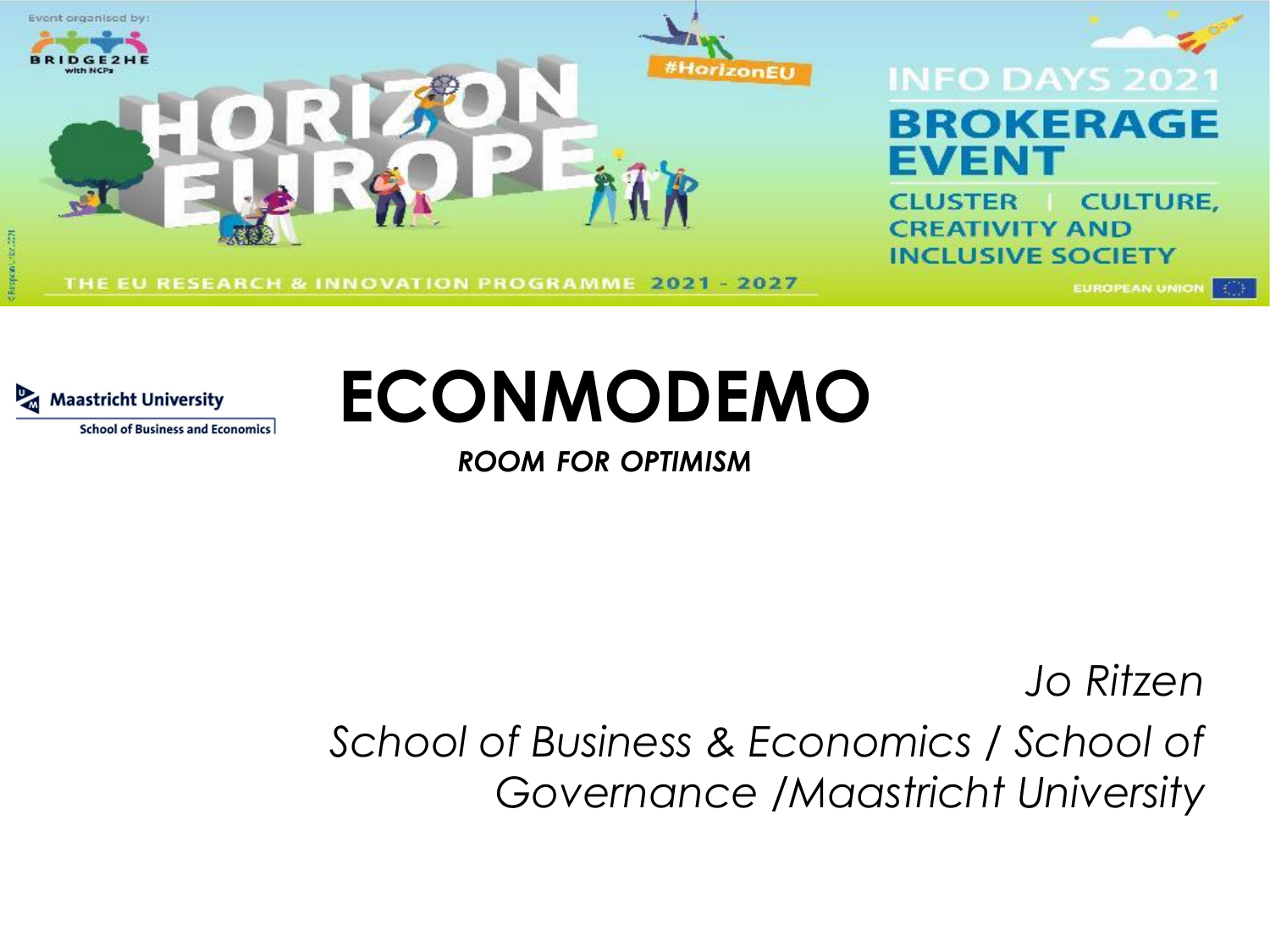

**School of Business and Economics** 



*ROOM FOR OPTIMISM*

*Jo Ritzen School of Business & Economics / School of Governance /Maastricht University*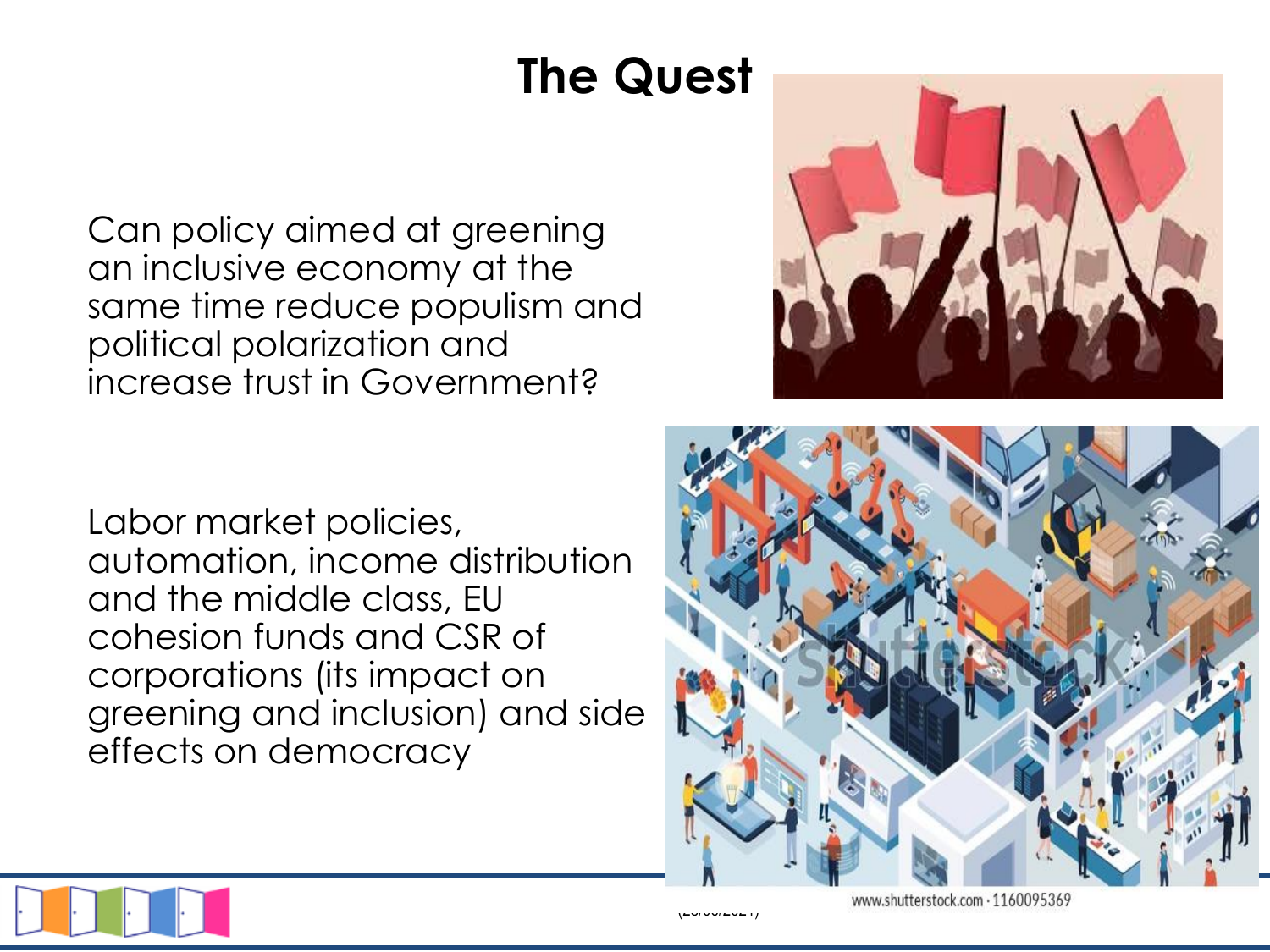## **The Quest**

Can policy aimed at greening an inclusive economy at the same time reduce populism and political polarization and increase trust in Government?

Labor market policies, automation, income distribution and the middle class, EU cohesion funds and CSR of corporations (its impact on greening and inclusion) and side effects on democracy







www.shutterstock.com - 1160095369

 $(280 \times 10^{-26} \text{ m})$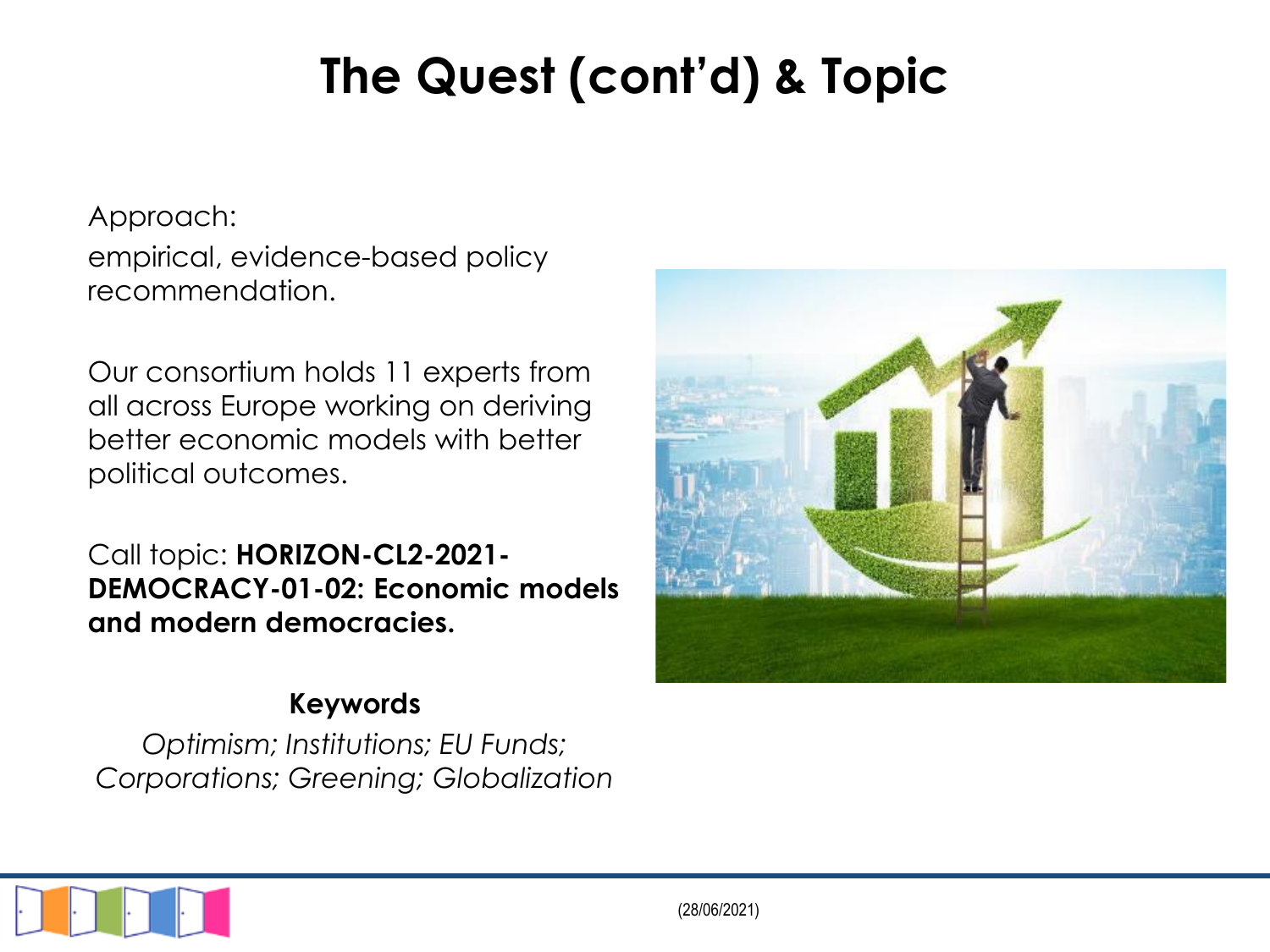# **The Quest (cont'd) & Topic**

Approach:

empirical, evidence-based policy recommendation.

Our consortium holds 11 experts from all across Europe working on deriving better economic models with better political outcomes.

Call topic: **HORIZON-CL2-2021- DEMOCRACY-01-02: Economic models and modern democracies.** 

#### **Keywords**

*Optimism; Institutions; EU Funds; Corporations; Greening; Globalization*



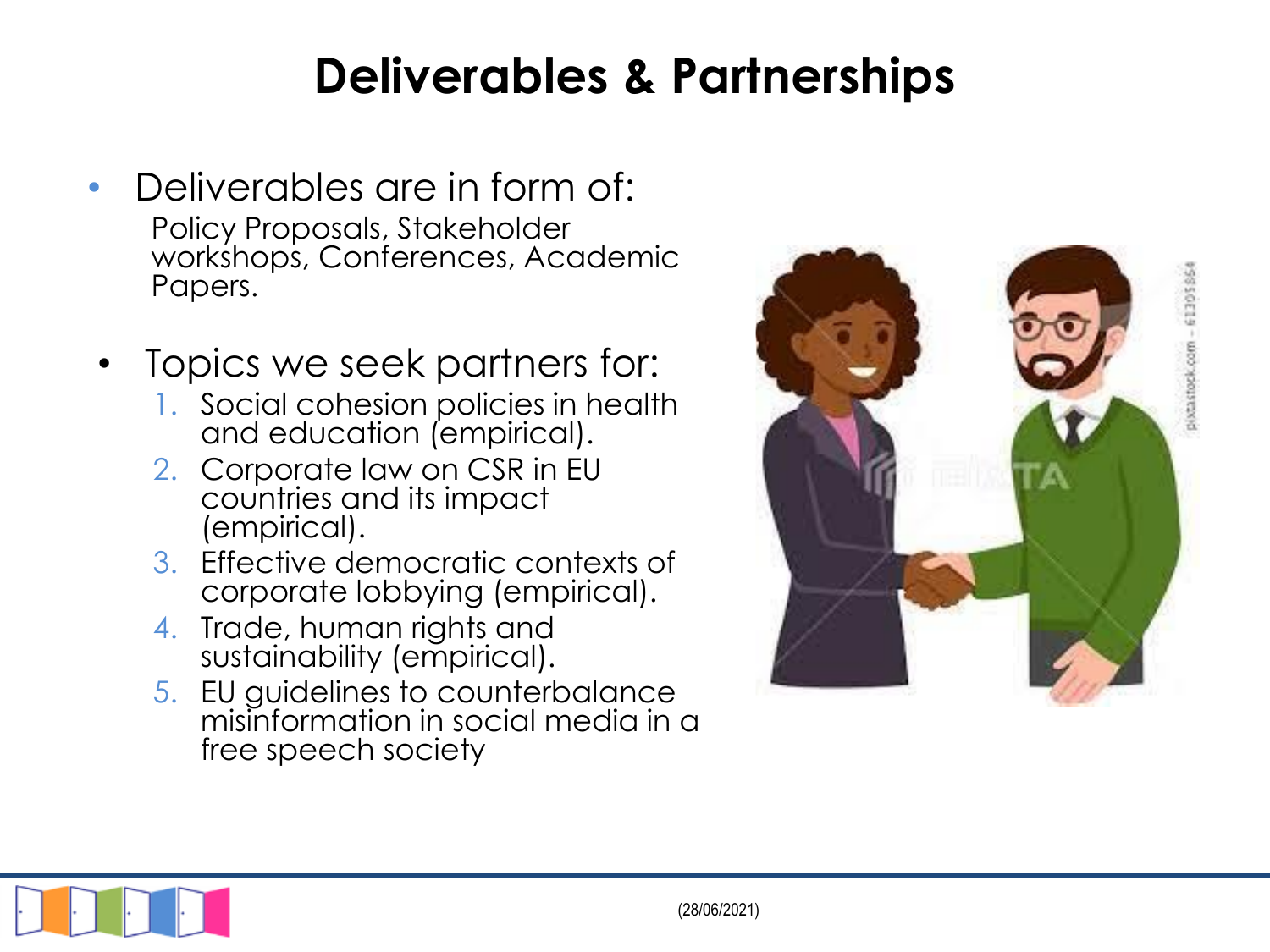### **Deliverables & Partnerships**

- Deliverables are in form of: Policy Proposals, Stakeholder workshops, Conferences, Academic Papers.
- Topics we seek partners for:
	- 1. Social cohesion policies in health and education (empirical).
	- 2. Corporate law on CSR in EU countries and its impact (empirical).
	- 3. Effective democratic contexts of corporate lobbying (empirical).
	- 4. Trade, human rights and sustainability (empirical).
	- 5. EU guidelines to counterbalance misinformation in social media in a free speech society



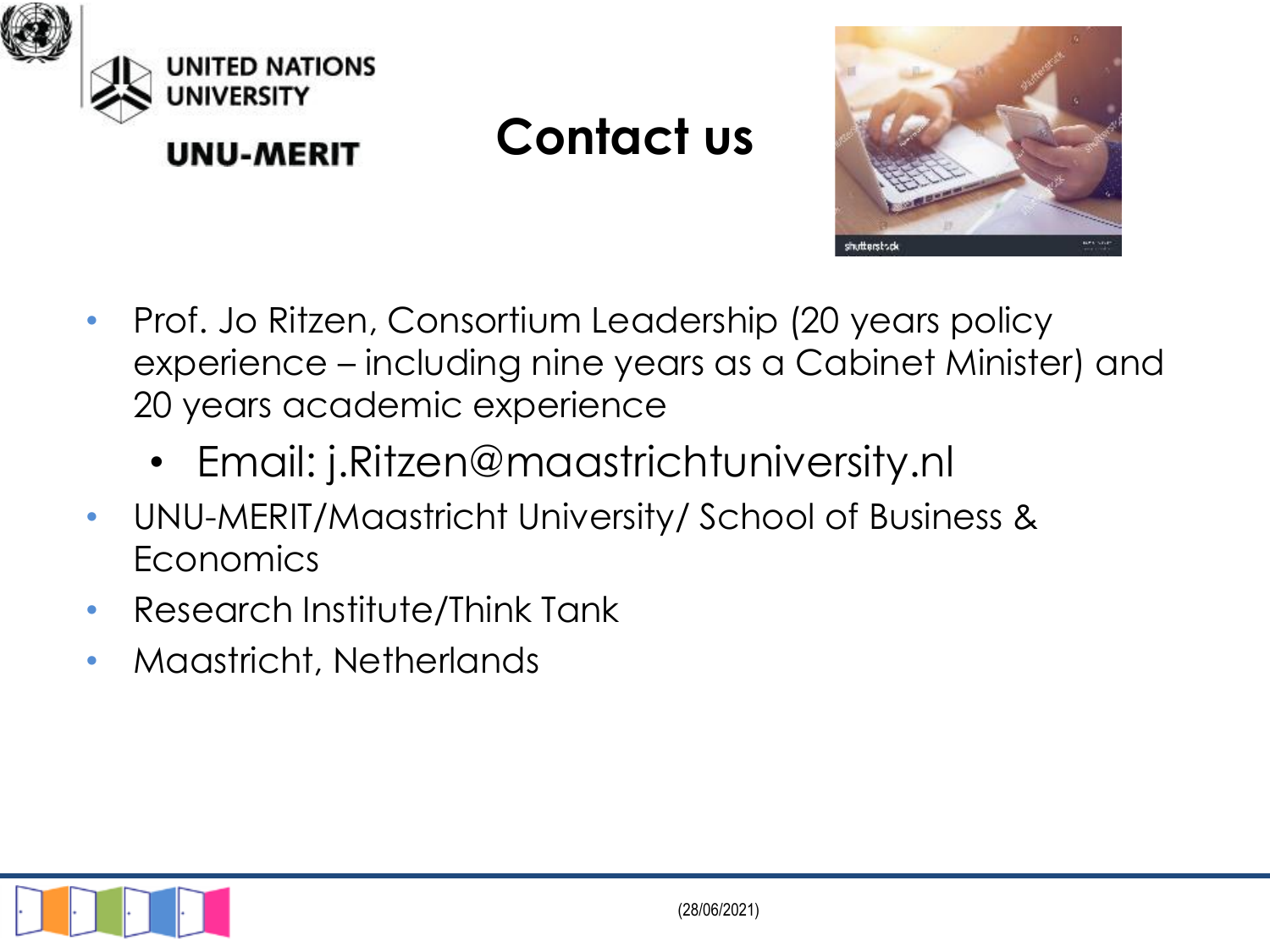

**UNU-MERIT** 

### **Contact us**



- Prof. Jo Ritzen, Consortium Leadership (20 years policy experience – including nine years as a Cabinet Minister) and 20 years academic experience
	- Email: j.Ritzen@maastrichtuniversity.nl
- UNU-MERIT/Maastricht University/ School of Business & **Economics**
- Research Institute/Think Tank
- Maastricht, Netherlands